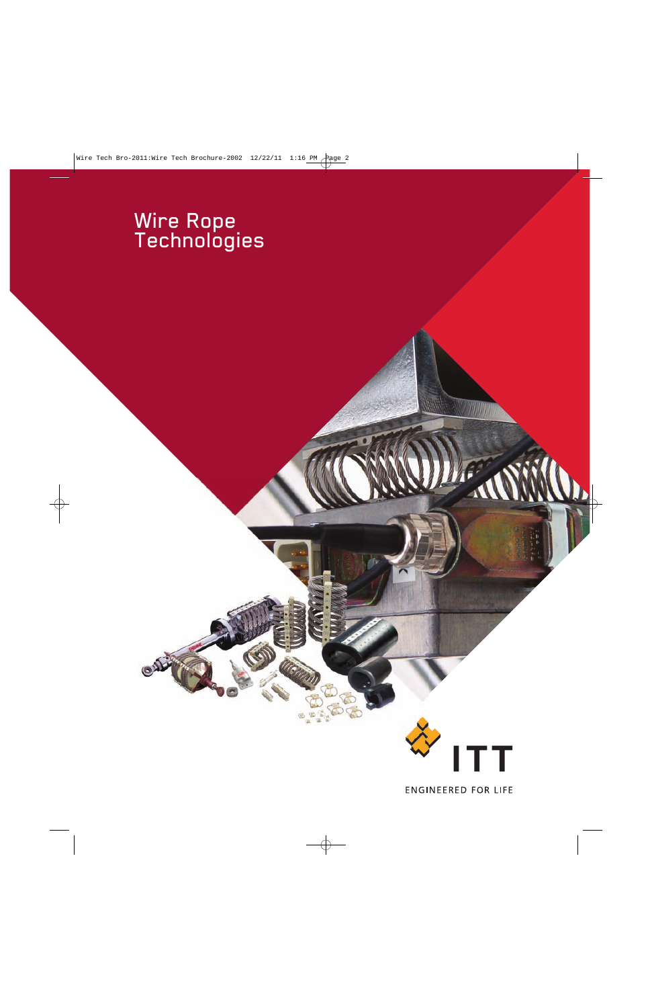# Wire Rope Technologies



WWW

**ENGINEERED FOR LIFE**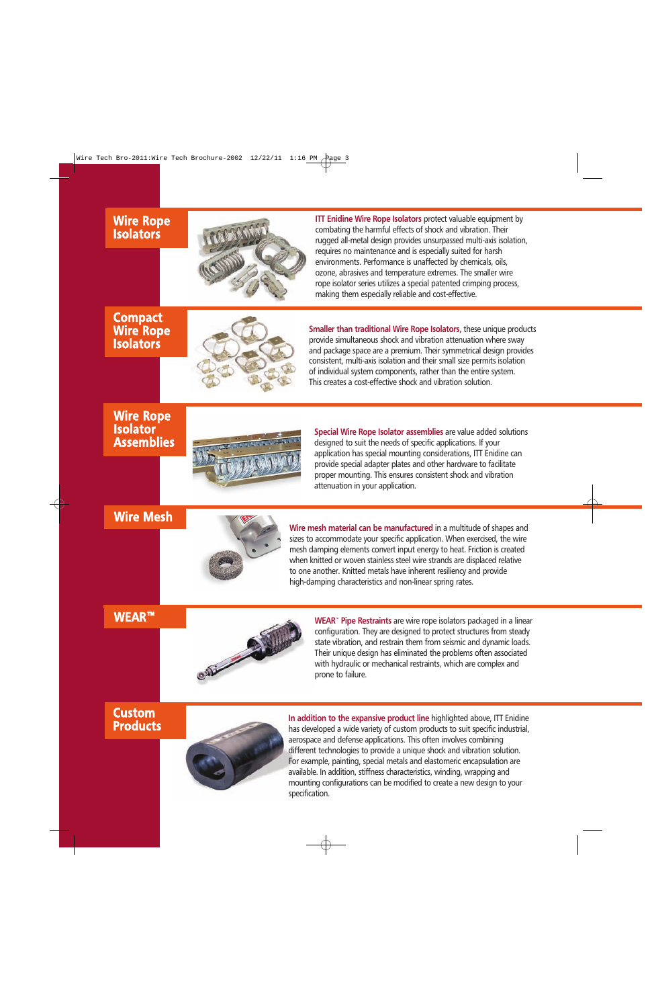### **Wire Rope Isolators**



**ITT Enidine Wire Rope Isolators** protect valuable equipment by combating the harmful effects of shock and vibration. Their rugged all-metal design provides unsurpassed multi-axis isolation, requires no maintenance and is especially suited for harsh environments. Performance is unaffected by chemicals, oils, ozone, abrasives and temperature extremes. The smaller wire rope isolator series utilizes a special patented crimping process, making them especially reliable and cost-effective.

### **Compact Wire Rope Isolators**



**Smaller than traditional Wire Rope Isolators,** these unique products provide simultaneous shock and vibration attenuation where sway and package space are a premium. Their symmetrical design provides consistent, multi-axis isolation and their small size permits isolation of individual system components, rather than the entire system. This creates a cost-effective shock and vibration solution.

### **Wire Rope Isolator Assemblies**



**Special Wire Rope Isolator assemblies** are value added solutions designed to suit the needs of specific applications. If your application has special mounting considerations, ITT Enidine can provide special adapter plates and other hardware to facilitate proper mounting. This ensures consistent shock and vibration attenuation in your application.

**Wire Mesh**



**Wire mesh material can be manufactured** in a multitude of shapes and sizes to accommodate your specific application. When exercised, the wire mesh damping elements convert input energy to heat. Friction is created when knitted or woven stainless steel wire strands are displaced relative to one another. Knitted metals have inherent resiliency and provide high-damping characteristics and non-linear spring rates.

**WEAR™**



**WEAR™ Pipe Restraints** are wire rope isolators packaged in a linear configuration. They are designed to protect structures from steady state vibration, and restrain them from seismic and dynamic loads. Their unique design has eliminated the problems often associated with hydraulic or mechanical restraints, which are complex and prone to failure.

### **Custom Products**



**In addition to the expansive product line** highlighted above, ITT Enidine has developed a wide variety of custom products to suit specific industrial, aerospace and defense applications. This often involves combining different technologies to provide a unique shock and vibration solution. For example, painting, special metals and elastomeric encapsulation are available. In addition, stiffness characteristics, winding, wrapping and mounting configurations can be modified to create a new design to your specification.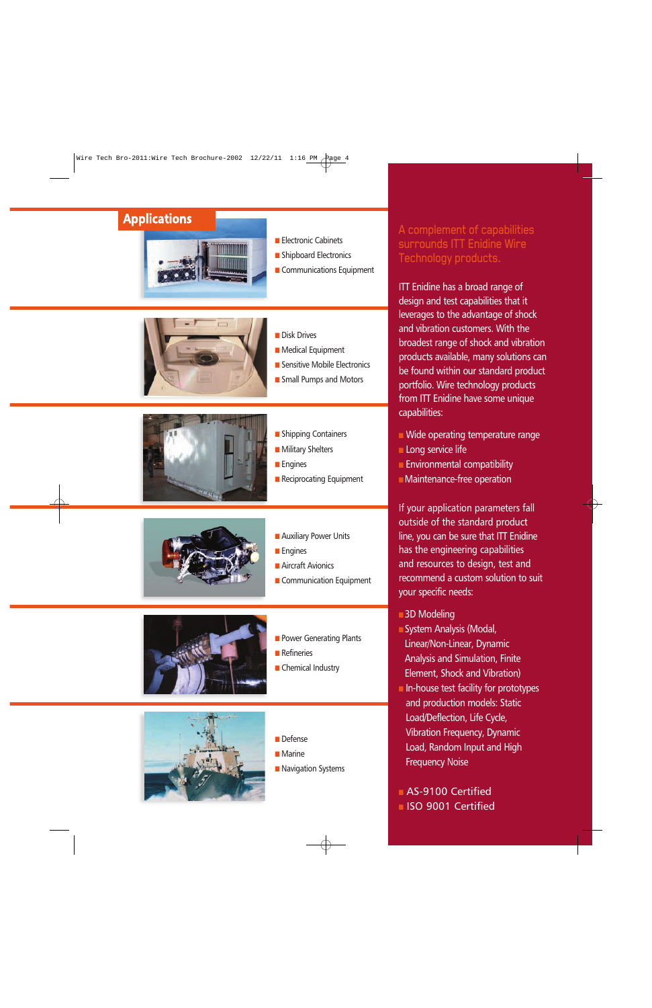## **Applications**



- Electronic Cabinets
- Shipboard Electronics
- Communications Equipment



- Disk Drives
- Medical Equipment
- Sensitive Mobile Electronics
- Small Pumps and Motors



- Shipping Containers
- Military Shelters
- Engines
- Reciprocating Equipment



- Auxiliary Power Units
- Engines
- Aircraft Avionics
- Communication Equipment



- Power Generating Plants
- Refineries
- Chemical Industry



- Defense
- Marine
- Navigation Systems

### A complement of capabilities surrounds ITT Enidine Wire Technology products.

ITT Enidine has a broad range of design and test capabilities that it leverages to the advantage of shock and vibration customers. With the broadest range of shock and vibration products available, many solutions can be found within our standard product portfolio. Wire technology products from ITT Enidine have some unique capabilities:

- Wide operating temperature range
- **Long service life**
- Environmental compatibility
- ■Maintenance-free operation

If your application parameters fall outside of the standard product line, you can be sure that ITT Enidine has the engineering capabilities and resources to design, test and recommend a custom solution to suit your specific needs:

- 3D Modeling
- System Analysis (Modal, Linear/Non-Linear, Dynamic Analysis and Simulation, Finite Element, Shock and Vibration)
- In-house test facility for prototypes and production models: Static Load/Deflection, Life Cycle, Vibration Frequency, Dynamic Load, Random Input and High Frequency Noise
- AS-9100 Certified ■ ISO 9001 Certified